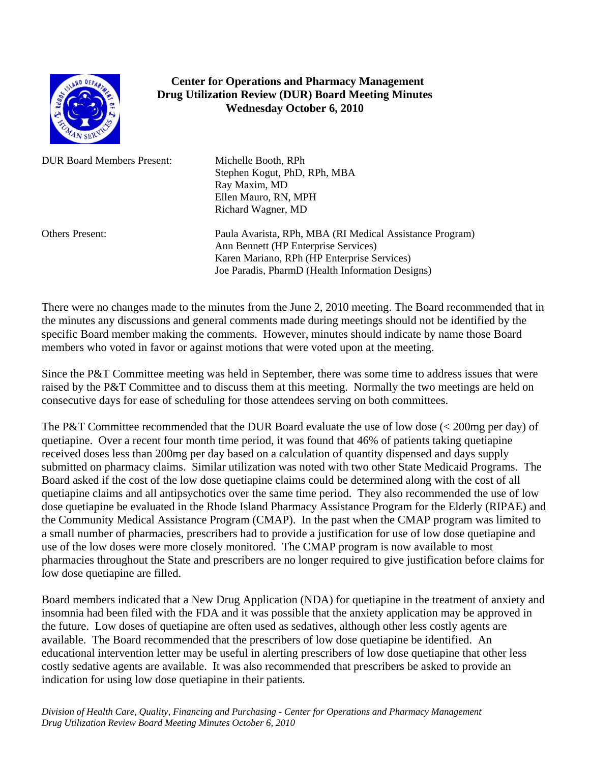

## **Center for Operations and Pharmacy Management Drug Utilization Review (DUR) Board Meeting Minutes Wednesday October 6, 2010**

DUR Board Members Present: Michelle Booth, RPh

Stephen Kogut, PhD, RPh, MBA Ray Maxim, MD Ellen Mauro, RN, MPH Richard Wagner, MD

Others Present: Paula Avarista, RPh, MBA (RI Medical Assistance Program) Ann Bennett (HP Enterprise Services) Karen Mariano, RPh (HP Enterprise Services) Joe Paradis, PharmD (Health Information Designs)

There were no changes made to the minutes from the June 2, 2010 meeting. The Board recommended that in the minutes any discussions and general comments made during meetings should not be identified by the specific Board member making the comments. However, minutes should indicate by name those Board members who voted in favor or against motions that were voted upon at the meeting.

Since the P&T Committee meeting was held in September, there was some time to address issues that were raised by the P&T Committee and to discuss them at this meeting. Normally the two meetings are held on consecutive days for ease of scheduling for those attendees serving on both committees.

The P&T Committee recommended that the DUR Board evaluate the use of low dose (< 200mg per day) of quetiapine. Over a recent four month time period, it was found that 46% of patients taking quetiapine received doses less than 200mg per day based on a calculation of quantity dispensed and days supply submitted on pharmacy claims. Similar utilization was noted with two other State Medicaid Programs. The Board asked if the cost of the low dose quetiapine claims could be determined along with the cost of all quetiapine claims and all antipsychotics over the same time period. They also recommended the use of low dose quetiapine be evaluated in the Rhode Island Pharmacy Assistance Program for the Elderly (RIPAE) and the Community Medical Assistance Program (CMAP). In the past when the CMAP program was limited to a small number of pharmacies, prescribers had to provide a justification for use of low dose quetiapine and use of the low doses were more closely monitored. The CMAP program is now available to most pharmacies throughout the State and prescribers are no longer required to give justification before claims for low dose quetiapine are filled.

Board members indicated that a New Drug Application (NDA) for quetiapine in the treatment of anxiety and insomnia had been filed with the FDA and it was possible that the anxiety application may be approved in the future. Low doses of quetiapine are often used as sedatives, although other less costly agents are available. The Board recommended that the prescribers of low dose quetiapine be identified. An educational intervention letter may be useful in alerting prescribers of low dose quetiapine that other less costly sedative agents are available. It was also recommended that prescribers be asked to provide an indication for using low dose quetiapine in their patients.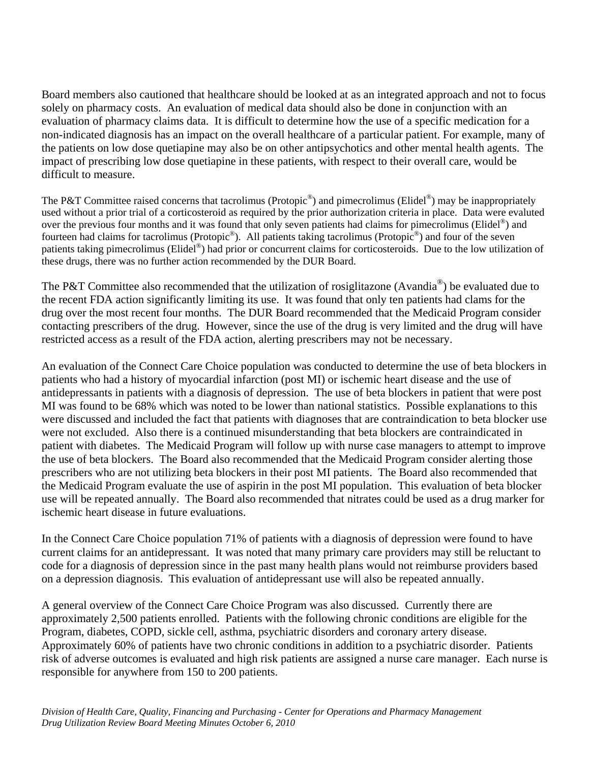Board members also cautioned that healthcare should be looked at as an integrated approach and not to focus solely on pharmacy costs. An evaluation of medical data should also be done in conjunction with an evaluation of pharmacy claims data. It is difficult to determine how the use of a specific medication for a non-indicated diagnosis has an impact on the overall healthcare of a particular patient. For example, many of the patients on low dose quetiapine may also be on other antipsychotics and other mental health agents. The impact of prescribing low dose quetiapine in these patients, with respect to their overall care, would be difficult to measure.

The P&T Committee raised concerns that tacrolimus (Protopic<sup>®</sup>) and pimecrolimus (Elidel<sup>®</sup>) may be inappropriately used without a prior trial of a corticosteroid as required by the prior authorization criteria in place. Data were evaluted over the previous four months and it was found that only seven patients had claims for pimecrolimus (Elidel<sup>®</sup>) and fourteen had claims for tacrolimus (Protopic<sup>®</sup>). All patients taking tacrolimus (Protopic<sup>®</sup>) and four of the seven patients taking pimecrolimus (Elidel®) had prior or concurrent claims for corticosteroids. Due to the low utilization of these drugs, there was no further action recommended by the DUR Board.

The P&T Committee also recommended that the utilization of rosiglitazone (Avandia<sup>®</sup>) be evaluated due to the recent FDA action significantly limiting its use. It was found that only ten patients had clams for the drug over the most recent four months. The DUR Board recommended that the Medicaid Program consider contacting prescribers of the drug. However, since the use of the drug is very limited and the drug will have restricted access as a result of the FDA action, alerting prescribers may not be necessary.

An evaluation of the Connect Care Choice population was conducted to determine the use of beta blockers in patients who had a history of myocardial infarction (post MI) or ischemic heart disease and the use of antidepressants in patients with a diagnosis of depression. The use of beta blockers in patient that were post MI was found to be 68% which was noted to be lower than national statistics. Possible explanations to this were discussed and included the fact that patients with diagnoses that are contraindication to beta blocker use were not excluded. Also there is a continued misunderstanding that beta blockers are contraindicated in patient with diabetes. The Medicaid Program will follow up with nurse case managers to attempt to improve the use of beta blockers. The Board also recommended that the Medicaid Program consider alerting those prescribers who are not utilizing beta blockers in their post MI patients. The Board also recommended that the Medicaid Program evaluate the use of aspirin in the post MI population. This evaluation of beta blocker use will be repeated annually. The Board also recommended that nitrates could be used as a drug marker for ischemic heart disease in future evaluations.

In the Connect Care Choice population 71% of patients with a diagnosis of depression were found to have current claims for an antidepressant. It was noted that many primary care providers may still be reluctant to code for a diagnosis of depression since in the past many health plans would not reimburse providers based on a depression diagnosis. This evaluation of antidepressant use will also be repeated annually.

A general overview of the Connect Care Choice Program was also discussed. Currently there are approximately 2,500 patients enrolled. Patients with the following chronic conditions are eligible for the Program, diabetes, COPD, sickle cell, asthma, psychiatric disorders and coronary artery disease. Approximately 60% of patients have two chronic conditions in addition to a psychiatric disorder. Patients risk of adverse outcomes is evaluated and high risk patients are assigned a nurse care manager. Each nurse is responsible for anywhere from 150 to 200 patients.